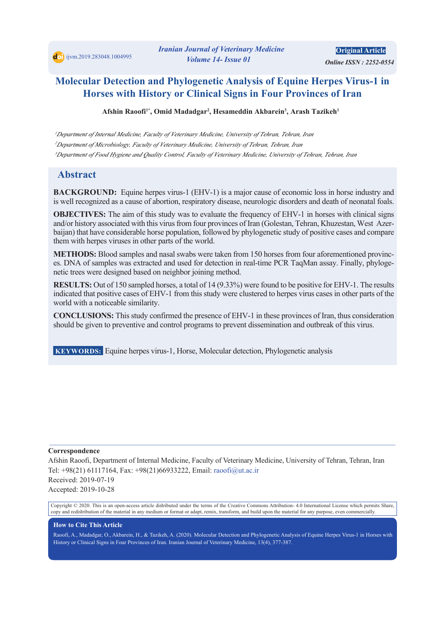*<i> Online ISSN: 2252-0554* **Original Article** 

# **Molecular Detection and Phylogenetic Analysis of Equine Herpes Virus-1 in Horses with History or Clinical Signs in Four Provinces of Iran**

Afshin Raoofi<sup>1\*</sup>, Omid Madadgar<sup>2</sup>, Hesameddin Akbarein<sup>3</sup>, Arash Tazikeh<sup>1</sup>

*I* Department of Internal Medicine, Faculty of Veterinary Medicine, University of Tehran, Tehran, Iran <sup>2</sup>Department of Microbiology, Faculty of Veterinary Medicine, University of Tehran, Tehran, Iran <sup>3</sup>Department of Food Hygiene and Quality Control, Faculty of Veterinary Medicine, University of Tehran, Tehran, Iran

# **Abstract**

**BACKGROUND:** Equine herpes virus-1 (EHV-1) is a major cause of economic loss in horse industry and is well recognized as a cause of abortion, respiratory disease, neurologic disorders and death of neonatal foals.

**OBJECTIVES:** The aim of this study was to evaluate the frequency of EHV-1 in horses with clinical signs baijan) that have considerable horse population, followed by phylogenetic study of positive cases and compare and/or history associated with this virus from four provinces of Iran (Golestan, Tehran, Khuzestan, West Azerthem with herpes viruses in other parts of the world.

es. DNA of samples was extracted and used for detection in real-time PCR TaqMan assay. Finally, phylogenetic trees were designed based on neighbor joining method. **METHODS:** Blood samples and nasal swabs were taken from 150 horses from four aforementioned provinces. DNA of samples was extracted and used for detection in real-time PCR TaqMan assay. Finally, phyloge-METHODS: Blood samples and nasal swabs were taken from 150 horses from four aforementioned provinc-

**RESULTS:** Out of 150 sampled horses, a total of 14 (9.33%) were found to be positive for EHV-1. The results indicated that positive cases of EHV-1 from this study were clustered to herpes virus cases in other parts of the world with a noticeable similarity.

**CONCLUSIONS:** This study confirmed the presence of EHV-1 in these provinces of Iran, thus consideration should be given to preventive and control programs to prevent dissemination and outbreak of this virus.

**KEYWORDS:** Equine herpes virus -1, Horse, Molecular detection, Phylogenetic analysis

#### **Correspondence**

Afshin Raoofi, Department of Internal Medicine, Faculty of Veterinary Medicine, University of Tehran, Tehran, Iran Tel: +98(21) 61117164, Fax: +98(21)66933222, Email: raoofi@ut.ac.ir Received: 2019-07-19 Accepted: 2019-10-28

 $\mathcal{L}_\mathcal{L} = \{ \mathcal{L}_\mathcal{L} = \{ \mathcal{L}_\mathcal{L} = \{ \mathcal{L}_\mathcal{L} = \{ \mathcal{L}_\mathcal{L} = \{ \mathcal{L}_\mathcal{L} = \{ \mathcal{L}_\mathcal{L} = \{ \mathcal{L}_\mathcal{L} = \{ \mathcal{L}_\mathcal{L} = \{ \mathcal{L}_\mathcal{L} = \{ \mathcal{L}_\mathcal{L} = \{ \mathcal{L}_\mathcal{L} = \{ \mathcal{L}_\mathcal{L} = \{ \mathcal{L}_\mathcal{L} = \{ \mathcal{L}_\mathcal{$ 

Copyright © 2020. This is an open-access article distributed under the terms of the Creative Commons Attribution-4.0 International License which permits Share, copy and redistribution of the material in any medium or format or adapt, remix, transform, and build upon the material for any purpose, even commercially.

#### **How to Cite This Article**

Raoofi, A., Madadgar, O., Akbarein, H., & Tazikeh, A. (2020). Molecular Detection and Phylogenetic Analysis of Equine Herpes Virus-1 in Horses with History or Clinical Signs in Four Provinces of Iran. Iranian Journal of Veterinary Medicine, 13(4), 377-387.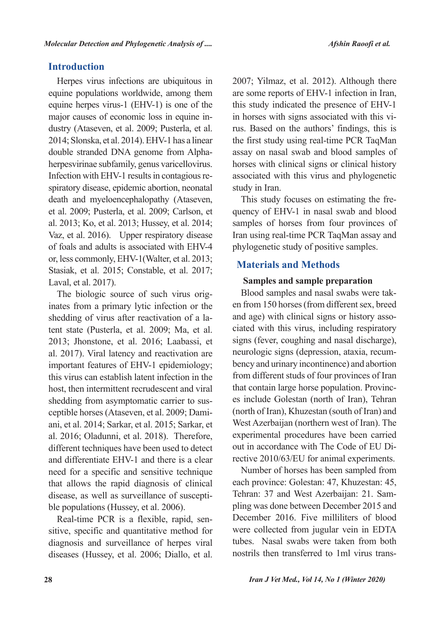# **Introduction**

Herpes virus infections are ubiquitous in equine populations worldwide, among them equine herpes virus-1 (EHV-1) is one of the dustry (Ataseven, et al. 2009; Pusterla, et al. major causes of economic loss in equine in-2014; Slonska, et al. 2014). EHV-1 has a linear herpesvirinae subfamily, genus varicellovirus. double stranded DNA genome from Alphaspiratory disease, epidemic abortion, neonatal Infection with EHV-1 results in contagious redeath and myeloencephalopathy (Ataseven, et al. 2009; Pusterla, et al. 2009; Carlson, et al. 2013; Ko, et al. 2013; Hussey, et al. 2014; Vaz, et al. 2016). Upper respiratory disease of foals and adults is associated with EHV-4 or, less commonly, EHV-1(Walter, et al. 2013; Stasiak, et al. 2015; Constable, et al. 2017; Laval, et al. 2017).

inates from a primary lytic infection or the The biologic source of such virus origtent state (Pusterla, et al. 2009; Ma, et al. shedding of virus after reactivation of a la-2013; Jhonstone, et al. 2016; Laabassi, et al. 2017). Viral latency and reactivation are important features of EHV-1 epidemiology; this virus can establish latent infection in the host, then intermittent recrudescent and viral ani, et al. 2014; Sarkar, et al. 2015; Sarkar, et ceptible horses (Ataseven, et al. 2009; Damishedding from asymptomatic carrier to susal.  $2016$ ; Oladunni, et al.  $2018$ ). Therefore, different techniques have been used to detect and differentiate EHV-1 and there is a clear need for a specific and sensitive technique that allows the rapid diagnosis of clinical disease, as well as surveillance of suscepti-<br>ble populations (Hussey, et al. 2006).

sitive, specific and quantitative method for Real-time PCR is a flexible, rapid, sendiagnosis and surveillance of herpes viral diseases (Hussey, et al. 2006; Diallo, et al.

2007; Yilmaz, et al. 2012). Although there are some reports of EHV-1 infection in Iran, this study indicated the presence of EHV-1 rus. Based on the authors' findings, this is in horses with signs associated with this vithe first study using real-time PCR TaqMan assay on nasal swab and blood samples of horses with clinical signs or clinical history associated with this virus and phylogenetic study in Iran.

quency of EHV-1 in nasal swab and blood This study focuses on estimating the fresamples of horses from four provinces of Iran using real-time PCR TaqMan assay and phylogenetic study of positive samples.

# **Methods and Materials**

### **Samples and sample preparation**

en from 150 horses (from different sex, breed Blood samples and nasal swabs were takciated with this virus, including respiratory and age) with clinical signs or history assosigns (fever, coughing and nasal discharge), bency and urinary incontinence) and abortion neurologic signs (depression, ataxia, recumfrom different studs of four provinces of Iran es include Golestan (north of Iran), Tehran that contain large horse population. Provinc-(north of Iran), Khuzestan (south of Iran) and West Azerbaijan (northern west of Iran). The experimental procedures have been carried rective  $2010/63/$  EU for animal experiments. out in accordance with The Code of EU Di-

Number of horses has been sampled from each province: Golestan: 47, Khuzestan: 45, pling was done between December 2015 and Tehran: 37 and West Azerbaijan: 21. Sam-December 2016. Five milliliters of blood were collected from jugular vein in EDTA tubes. Nasal swabs were taken from both nostrils then transferred to 1ml virus trans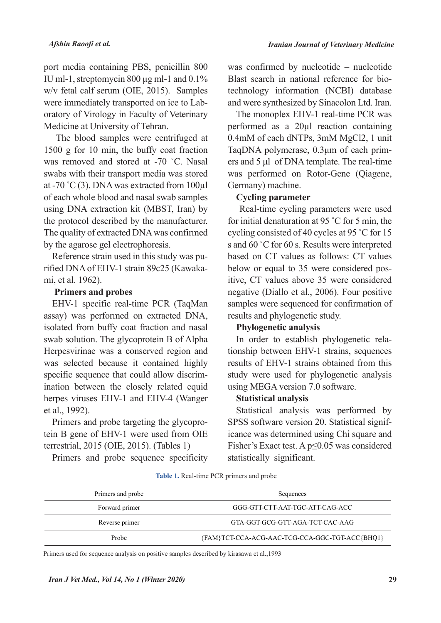port media containing PBS, penicillin 800 IU ml-1, streptomycin 800  $\mu$ g ml-1 and 0.1% w/v fetal calf serum (OIE, 2015). Samples oratory of Virology in Faculty of Veterinary were immediately transported on ice to Lab-Medicine at University of Tehran.

The blood samples were centrifuged at 1500 g for 10 min, the buffy coat fraction was removed and stored at -70 °C. Nasal swabs with their transport media was stored at -70 °C (3). DNA was extracted from  $100 \mu$ l of each whole blood and nasal swab samples using DNA extraction kit (MBST, Iran) by the protocol described by the manufacturer. The quality of extracted DNA was confirmed by the agarose gel electrophoresis.

rified DNA of EHV-1 strain 89c25 (Kawaka-<br>mi, et al. 1962). Reference strain used in this study was purified DNA of EHV-1 strain 89c25 (Kawaka-Reference strain used in this study was pu-

### **Primers and probes**

EHV-1 specific real-time PCR (TaqMan assay) was performed on extracted DNA, isolated from buffy coat fraction and nasal swab solution. The glycoprotein B of Alpha Herpesvirinae was a conserved region and was selected because it contained highly ination between the closely related equid specific sequence that could allow discrimherpes viruses EHV-1 and EHV-4 (Wanger et al., 1992).

tein B gene of EHV-1 were used from OIE Primers and probe targeting the glycoproterrestrial,  $2015$  (OIE,  $2015$ ). (Tables 1)

Primers and probe sequence specificity

was confirmed by nucleotide – nucleotide technology information (NCBI) database Blast search in national reference for bioand were synthesized by Sinacolon Ltd. Iran.

The monoplex EHV-1 real-time PCR was performed as a  $20 \mu l$  reaction containing 0.4mM of each dNTPs, 3mM MgCl2, 1 unit ers and  $5 \mu l$  of DNA template. The real-time TaqDNA polymerase, 0.3μm of each primwas performed on Rotor-Gene (Qiagene, Germany) machine.

# **Cycling** parameter

Real-time cycling parameters were used for initial denaturation at 95  $\degree$ C for 5 min, the cycling consisted of 40 cycles at 95  $°C$  for 15 s and 60 °C for 60 s. Results were interpreted based on CT values as follows: CT values itive, CT values above 35 were considered below or equal to 35 were considered posnegative (Diallo et al., 2006). Four positive samples were sequenced for confirmation of results and phylogenetic study.

# **analysis Phylogenetic**

tionship between EHV-1 strains, sequences In order to establish phylogenetic relaresults of EHV-1 strains obtained from this study were used for phylogenetic analysis using MEGA version 7.0 software.

# **Statistical analysis**

Statistical analysis was performed by icance was determined using Chi square and SPSS software version 20. Statistical signif-Fisher's Exact test. A  $p \le 0.05$  was considered statistically significant.

| Table 1. Real-time PCR primers and probe |  |
|------------------------------------------|--|
|------------------------------------------|--|

| Primers and probe | Sequences                                      |  |  |  |  |
|-------------------|------------------------------------------------|--|--|--|--|
| Forward primer    | GGG-GTT-CTT-AAT-TGC-ATT-CAG-ACC                |  |  |  |  |
| Reverse primer    | GTA-GGT-GCG-GTT-AGA-TCT-CAC-AAG                |  |  |  |  |
| Probe             | {FAM}TCT-CCA-ACG-AAC-TCG-CCA-GGC-TGT-ACC{BHQ1} |  |  |  |  |

Primers used for sequence analysis on positive samples described by kirasawa et al., 1993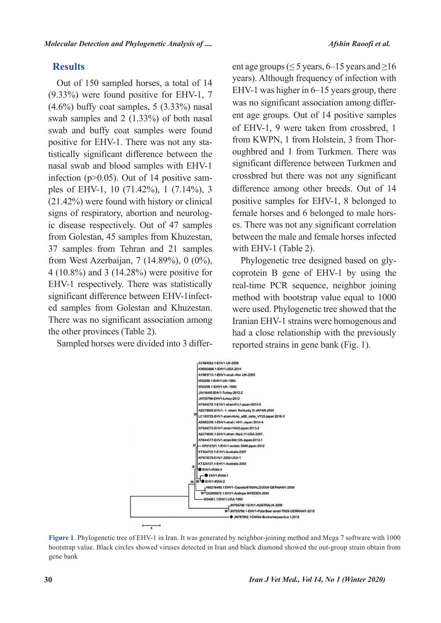# **Results**

Out of 150 sampled horses, a total of 14  $(9.33\%)$  were found positive for EHV-1, 7  $(4.6\%)$  buffy coat samples, 5  $(3.33\%)$  nasal swab samples and  $2(1.33\%)$  of both nasal swab and buffy coat samples were found tistically significant difference between the positive for EHV-1. There was not any stanasal swab and blood samples with EHV-1 ples of EHV-1, 10 (71.42%), 1 (7.14%), 3 infection ( $p > 0.05$ ). Out of 14 positive sam- $(21.42\%)$  were found with history or clinical ic disease respectively. Out of 47 samples signs of respiratory, abortion and neurologfrom Golestan, 45 samples from Khuzestan, 37 samples from Tehran and 21 samples from West Azerbaijan,  $7(14.89\%)$ ,  $0(0\%)$ , 4 (10.8%) and 3 (14.28%) were positive for EHV-1 respectively. There was statistically ed samples from Golestan and Khuzestan. significant difference between EHV-1infect-There was no significant association among the other provinces (Table 2).

Sampled horses were divided into 3 differ-

ent age groups ( $\leq 5$  years, 6–15 years and  $\geq 16$ years). Although frequency of infection with EHV-1 was higher in  $6-15$  years group, there ent age groups. Out of 14 positive samples was no significant association among differof EHV-1, 9 were taken from crossbred, 1 oughbred and 1 from Turkmen. There was from KWPN, 1 from Holstein, 3 from Thorsignificant difference between Turkmen and crossbred but there was not any significant difference among other breeds. Out of 14 positive samples for EHV-1, 8 belonged to es. There was not any significant correlation female horses and 6 belonged to male horsbetween the male and female horses infected with EHV-1 (Table 2).

coprotein  $\bf{B}$  gene of EHV-1 by using the Phylogenetic tree designed based on glyreal-time PCR sequence, neighbor joining method with bootstrap value equal to 1000 were used. Phylogenetic tree showed that the Iranian EHV-1 strains were homogenous and had a close relationship with the previously reported strains in gene bank (Fig. 1).



Figure 1. Phylogenetic tree of EHV-1 in Iran. It was generated by neighbor-joining method and Mega 7 software with 1000 bootstrap value. Black circles showed viruses detected in Iran and black diamond showed the out-group strain obtain from gene bank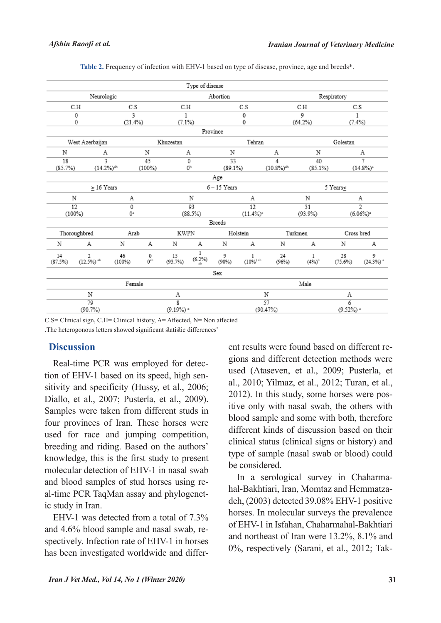|                 |                                        |           |                     |                         | Type of disease |                         |                        |                          |                     |                         |                         |  |
|-----------------|----------------------------------------|-----------|---------------------|-------------------------|-----------------|-------------------------|------------------------|--------------------------|---------------------|-------------------------|-------------------------|--|
|                 | Neurologic                             |           |                     |                         |                 | Abortion                |                        |                          | Respiratory         |                         |                         |  |
|                 | C.H<br>C.S                             |           |                     | C.H<br>C.S              |                 |                         |                        | C.H                      |                     | C.S                     |                         |  |
|                 | 3<br>$\overline{0}$                    |           |                     | $\mathbf{1}$            |                 | 0                       |                        |                          | 9                   |                         | 1                       |  |
|                 | 0<br>(21.4%)                           |           |                     | (7.1%)                  |                 |                         | 0                      |                          | (64.2%)             |                         | (7.4%)                  |  |
|                 |                                        |           |                     |                         | Province        |                         |                        |                          |                     |                         |                         |  |
| West Azerbaijan |                                        |           | Khuzestan<br>Tehran |                         |                 |                         | Golestan               |                          |                     |                         |                         |  |
| Ν               | А                                      |           | Ν                   |                         | Α               | N                       |                        | А                        | Ν                   |                         | Α                       |  |
| 18              | $\overline{\mathbf{3}}$                |           | 45                  |                         | 0               | 33                      |                        | 4                        | 40                  | 7                       |                         |  |
|                 | (85.7%)<br>$(14.2%)^{ab}$<br>$(100\%)$ |           |                     | 0b                      |                 | (89.1%)                 |                        | $(10.8\%)$ <sup>ab</sup> | (85.1%)             | $(14.8\%)$ <sup>2</sup> |                         |  |
|                 |                                        |           |                     |                         |                 | Age                     |                        |                          |                     |                         |                         |  |
|                 | $>16$ Years                            |           |                     |                         | $6 - 15$ Years  |                         |                        |                          | $5$ Years<br>$\leq$ |                         |                         |  |
|                 | N                                      |           |                     | N                       |                 | Α                       |                        |                          | N                   | Α                       |                         |  |
|                 | $\overline{12}$                        |           | 0                   |                         | 93              | 12                      |                        |                          | $\overline{31}$     | $\overline{2}$          |                         |  |
|                 | $0^{\rm a}$<br>$(100\%)$               |           |                     | (88.5%)                 |                 | $(11.4\%)$ <sup>a</sup> |                        |                          | (93.9%              | $(6.06\%)$ <sup>1</sup> |                         |  |
|                 |                                        |           |                     |                         |                 | <b>Breeds</b>           |                        |                          |                     |                         |                         |  |
| Thoroughbred    |                                        | Arab      |                     | <b>KWPN</b>             |                 |                         | Holstein               |                          | Turkmen             |                         | Cross bred              |  |
| Ν               | Α                                      | Ν         | А                   | Ν                       | Α               | Ν                       | Α                      | Ν                        | Α                   | Ν                       | Α                       |  |
| 14              | 2                                      | 46        | 0                   | 15                      | ı               | 9                       | 1                      | 24                       | 1                   | 28                      | 9                       |  |
| (87.5%)         | $(12.5\%)$ <sup>ab</sup>               | $(100\%)$ | $0$ <sup>ab</sup>   | (93.7%)                 | (6.2%)          | (90%)                   | $(10\%)$ <sup>ab</sup> | (96%)                    | $(4\%)^h$           | $(75.6\%)$              | $(24.3\%)$ <sup>a</sup> |  |
|                 |                                        |           |                     |                         |                 | Sex                     |                        |                          |                     |                         |                         |  |
| Female          |                                        |           |                     |                         | Male            |                         |                        |                          |                     |                         |                         |  |
|                 | Ν                                      |           |                     |                         | Α               |                         | Ν                      |                          | Α                   |                         |                         |  |
|                 | 79                                     |           |                     |                         | g               |                         | 57                     |                          |                     | 6                       |                         |  |
|                 | (90.7%)                                |           |                     | $(9.19\%)$ <sup>a</sup> |                 |                         | (90.47%)               |                          |                     | $(9.52%)$ $*$           |                         |  |

Table 2. Frequency of infection with EHV-1 based on type of disease, province, age and breeds\*.

C.S = Clinical sign, C.H = Clinical history, A = A ffected, N = Non affected

The heterogonous letters showed significant statistic differences<sup>\*</sup>

### **Discussion**

sitivity and specificity (Hussy, et al., 2006; tion of EHV-1 based on its speed, high sen-Real-time PCR was employed for detec-Diallo, et al., 2007; Pusterla, et al., 2009). Samples were taken from different studs in four provinces of Iran. These horses were used for race and jumping competition, breeding and riding. Based on the authors' knowledge, this is the first study to present molecular detection of EHV-1 in nasal swab al-time PCR TaqMan assay and phylogenet-<br>ic study in Iran. and blood samples of stud horses using re-<br>al-time PCR TaqMan assay and phylogenetand blood samples of stud horses using re-

EHV-1 was detected from a total of  $7.3\%$ spectively. Infection rate of EHV-1 in horses and 4.6% blood sample and nasal swab, rehas been investigated worldwide and differgions and different detection methods were ent results were found based on different reused (Ataseven, et al., 2009; Pusterla, et al., 2010; Yilmaz, et al., 2012; Turan, et al., itive only with nasal swab, the others with  $2012$ ). In this study, some horses were posblood sample and some with both, therefore different kinds of discussion based on their clinical status (clinical signs or history) and type of sample (nasal swab or blood) could be considered.

deh,  $(2003)$  detected 39.08% EHV-1 positive hal-Bakhtiari, Iran, Momtaz and Hemmatza-In a serological survey in Chaharmahorses. In molecular surveys the prevalence of EHV-1 in Isfahan, Chaharmahal-Bakhtiari and northeast of Iran were  $13.2\%$ ,  $8.1\%$  and 0%, respectively (Sarani, et al., 2012; Tak-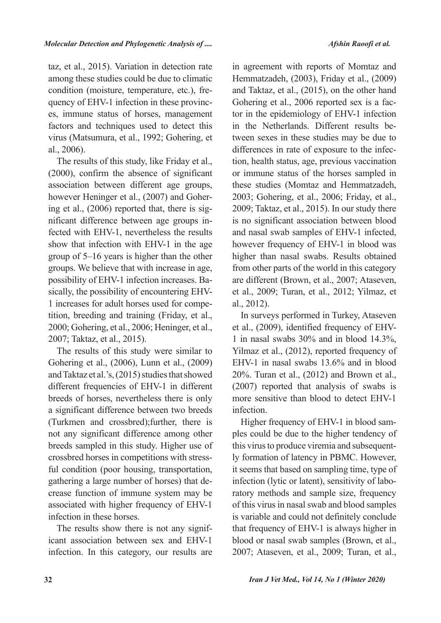taz, et al., 2015). Variation in detection rate among these studies could be due to climatic es, immune status of horses, management quency of EHV-1 infection in these provinccondition (moisture, temperature, etc.), frefactors and techniques used to detect this virus (Matsumura, et al., 1992; Gohering, et al., 2006).

The results of this study, like Friday et al.,  $(2000)$ , confirm the absence of significant association between different age groups, fected with EHV-1, nevertheless the results nificant difference between age groups ining et al.,  $(2006)$  reported that, there is sighowever Heninger et al., (2007) and Gohershow that infection with EHV-1 in the age group of  $5-16$  years is higher than the other groups. We believe that with increase in age, tition, breeding and training (Friday, et al., 1 increases for adult horses used for compesically, the possibility of encountering EHVpossibility of EHV-1 infection increases. Ba-2000; Gohering, et al., 2006; Heninger, et al., 2007; Taktaz, et al., 2015).

The results of this study were similar to Gohering et al., (2006), Lunn et al., (2009) and Taktaz et al.'s, (2015) studies that showed different frequencies of EHV-1 in different breeds of horses, nevertheless there is only a significant difference between two breeds (Turkmen and crossbred);further, there is not any significant difference among other breeds sampled in this study. Higher use of ful condition (poor housing, transportation, crossbred horses in competitions with stresscrease function of immune system may be gathering a large number of horses) that deassociated with higher frequency of EHV-1 infection in these horses.

icant association between sex and EHV-1 The results show there is not any signifinfection. In this category, our results are

in agreement with reports of Momtaz and Hemmatzadeh, (2003), Friday et al., (2009) and Taktaz, et al., (2015), on the other hand tor in the epidemiology of EHV-1 infection Gohering et al., 2006 reported sex is a factween sexes in these studies may be due to in the Netherlands. Different results betion, health status, age, previous vaccination differences in rate of exposure to the infecor immune status of the horses sampled in these studies (Momtaz and Hemmatzadeh, 2003; Gohering, et al., 2006; Friday, et al., 2009; Taktaz, et al., 2015). In our study there is no significant association between blood and nasal swab samples of EHV-1 infected, however frequency of EHV-1 in blood was higher than nasal swabs. Results obtained from other parts of the world in this category are different (Brown, et al., 2007; Ataseven, et al., 2009; Turan, et al., 2012; Yilmaz, et  $al., 2012$ ).

In surveys performed in Turkey, Ataseven et al.,  $(2009)$ , identified frequency of EHV-<br>1 in nasal swabs  $30\%$  and in blood 14.3%, Yilmaz et al., (2012), reported frequency of EHV-1 in nasal swabs  $13.6\%$  and in blood 20%. Turan et al.,  $(2012)$  and Brown et al.,  $(2007)$  reported that analysis of swabs is more sensitive than blood to detect EHV-1 infection.

ples could be due to the higher tendency of Higher frequency of EHV-1 in blood samly formation of latency in PBMC. However, this virus to produce viremia and subsequentit seems that based on sampling time, type of ratory methods and sample size, frequency infection (lytic or latent), sensitivity of laboof this virus in nasal swab and blood samples is variable and could not definitely conclude that frequency of EHV-1 is always higher in blood or nasal swab samples (Brown, et al., 2007; Ataseven, et al., 2009; Turan, et al.,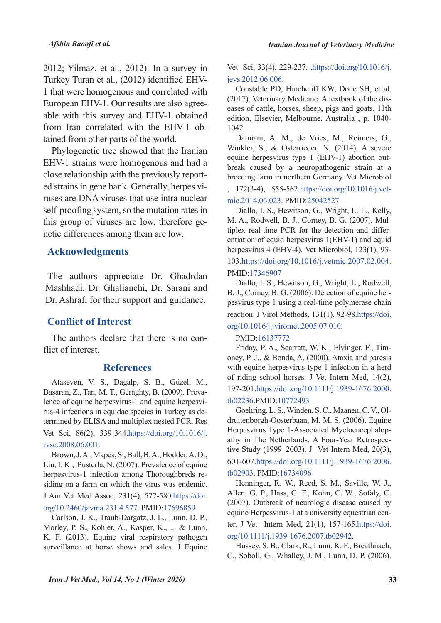$2012$ ; Yilmaz, et al.,  $2012$ ). In a survey in Turkey Turan et al., (2012) identified EHV-<br>1 that were homogenous and correlated with able with this survey and EHV-1 obtained European EHV-1. Our results are also agreefrom Iran correlated with the EHV-1 obtained from other parts of the world.

Phylogenetic tree showed that the Iranian EHV-1 strains were homogenous and had a ruses are DNA viruses that use intra nuclear ed strains in gene bank. Generally, herpes viclose relationship with the previously reportself-proofing system, so the mutation rates in this group of viruses are low, therefore genetic differences among them are low.

### **Acknowledgments**

The authors appreciate Dr. Ghadrdan Mashhadi, Dr. Ghalianchi, Dr. Sarani and Dr. Ashrafi for their support and guidance.

### **Conflict of Interest**

The authors declare that there is no con-<br>flict of interest.

#### **References**

Ataseven, V. S., Dağalp, S. B., Güzel, M., termined by ELISA and multiplex nested PCR. Res rus-4 infections in equidae species in Turkey as delence of equine herpesvirus-1 and equine herpesvi-Başaran, Z., Tan, M. T., Geraghty, B. (2009). Preva-Vet Sci, 86(2), 339-344.https://doi.org/10.1016/j.

rvsc.2008.06.001.

Brown, J.A., Mapes, S., Ball, B.A., Hodder, A.D., Liu, I. K., Pusterla, N. (2007). Prevalence of equine herpesvirus-1 infection among Thoroughbreds residing on a farm on which the virus was endemic.

J Am Vet Med Assoc, 231(4), 577-580. https://doi. org/10.2460/javma.231.4.577. PMID:17696859

Carlson, J. K., Traub-Dargatz, J. L., Lunn, D. P., Morley, P. S., Kohler, A., Kasper, K., ... & Lunn. K. F. (2013). Equine viral respiratory pathogen surveillance at horse shows and sales. J Equine

Vet Sci, 33(4), 229-237. .https://doi.org/10.1016/j. ievs.2012.06.006.

Constable PD, Hinchcliff KW, Done SH, et al. eases of cattle, horses, sheep, pigs and goats, 11th  $(2017)$ . Veterinary Medicine: A textbook of the disedition, Elsevier, Melbourne. Australia, p. 1040-1042.

Damiani, A. M., de Vries, M., Reimers, G., Winkler, S., & Osterrieder, N. (2014). A severe break caused by a neuropathogenic strain at a equine herpesvirus type 1 (EHV-1) abortion outbreeding farm in northern Germany. Vet Microbiol

, 172(3-4), 555-562.https://doi.org/10.1016/j.vet-<br>mic.2014.06.023. PMID:25042527

Diallo, I. S., Hewitson, G., Wright, L. L., Kelly, entiation of equid herpesvirus  $1(EHV-1)$  and equid tiplex real-time PCR for the detection and differ-M. A., Rodwell, B. J., Corney, B. G. (2007). Mulherpesvirus 4 (EHV-4). Vet Microbiol, 123(1), 93-103.https://doi.org/10.1016/j.vetmic.2007.02.004. PMID:17346907

Diallo, I. S., Hewitson, G., Wright, L., Rodwell, pesvirus type 1 using a real-time polymerase chain B. J., Corney, B. G. (2006). Detection of equine herreaction. J Virol Methods, 131(1), 92-98. https://doi.

## org/10.1016/j.jviromet.2005.07.010.

#### PMID:16137772

oney, P. J., & Bonda, A. (2000). Ataxia and paresis Friday, P. A., Scarratt, W. K., Elvinger, F., Timwith equine herpesvirus type 1 infection in a herd of riding school horses. J Vet Intern Med,  $14(2)$ , 197-201.https://doi.org/10.1111/j.1939-1676.2000. tb02236.PMID:10772493

druitenborgh-Oosterbaan, M. M. S. (2006). Equine Goehring, L. S., Winden, S. C., Maanen, C. V., Olathy in The Netherlands: A Four-Year Retrospective Study (1999–2003). J Vet Intern Med, 20(3), Herpesvirus Type 1-Associated Myeloencephalopathy in The Netherlands: A Four-Year Retrospec-601-607.https://doi.org/10.1111/j.1939-1676.2006. tb02903. PMID:16734096

Henninger, R. W., Reed, S. M., Saville, W. J., Allen, G. P., Hass, G. F., Kohn, C. W., Sofaly, C.  $(2007)$ . Outbreak of neurologic disease caused by equine Herpesvirus-1 at a university equestrian cen-

ter. J Vet Intern Med,  $21(1)$ ,  $157-165.$ https://doi. org/10.1111/j.1939-1676.2007.tb02942.

Hussey, S. B., Clark, R., Lunn, K. F., Breathnach, C., Soboll, G., Whalley, J. M., Lunn, D. P. (2006).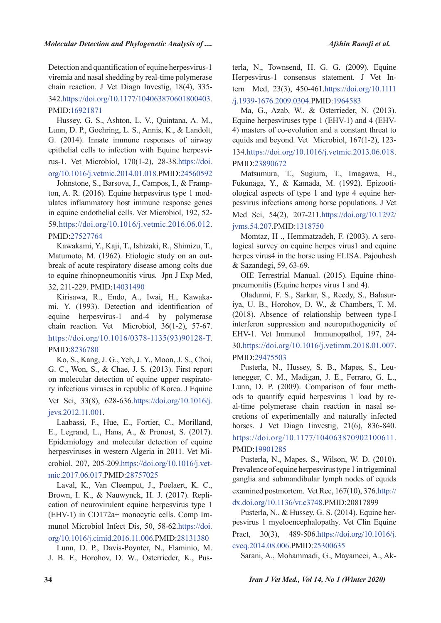Detection and quantification of equine herpesvirus-1 viremia and nasal shedding by real-time polymerase chain reaction. J Vet Diagn Investig, 18(4), 335-342.https://doi.org/10.1177/104063870601800403. PMID:16921871

Hussey, G. S., Ashton, L. V., Quintana, A. M., Lunn, D. P., Goehring, L. S., Annis, K., & Landolt, G. (2014). Innate immune responses of airway rus-1. Vet Microbiol, 170(1-2), 28-38. https://doi. epithelial cells to infection with Equine herpesviorg/10.1016/j.vetmic.2014.01.018.PMID:24560592

ulates inflammatory host immune response genes ton, A. R.  $(2016)$ . Equine herpesvirus type 1 mod-Johnstone, S., Barsova, J., Campos, I., & Frampin equine endothelial cells. Vet Microbiol, 192, 52- $59.$ https://doi.org/10.1016/j.vetmic.2016.06.012. PMID:27527764

Kawakami, Y., Kaji, T., Ishizaki, R., Shimizu, T., break of acute respiratory disease among colts due Matumoto, M. (1962). Etiologic study on an outto equine rhinopneumonitis virus. Jpn J Exp Med, 32, 211-229. PMID:14031490

mi, Y. (1993). Detection and identification of Kirisawa, R., Endo, A., Iwai, H., Kawakaequine herpesvirus -1 and -4 by polymerase chain reaction. Vet Microbiol, 36(1-2), 57-67. https://doi.org/10.1016/0378-1135(93)90128-T. PMID:8236780

Ko, S., Kang, J. G., Yeh, J. Y., Moon, J. S., Choi, G. C., Won, S., & Chae, J. S. (2013). First report ry infectious viruses in republic of Korea. J Equine on molecular detection of equine upper respirato-Vet Sci, 33(8), 628-636. https://doi.org/10.1016/j. jevs.2012.11.001.

Laabassi, F., Hue, E., Fortier, C., Morilland, E., Legrand, L., Hans, A., & Pronost, S. (2017). Epidemiology and molecular detection of equine crobiol, 207, 205-209.https://doi.org/10.1016/j.vet-<br>mic.2017.06.017.PMID:28757025 herpesviruses in western Algeria in 2011. Vet Microbiol, 207, 205-209. https://doi.org/10.1016/j.vetherpesviruses in western Algeria in 2011. Vet Mi-

Laval, K., Van Cleemput, J., Poelaert, K. C., cation of neurovirulent equine herpesvirus type 1 Brown, I. K., & Nauwynck, H. J. (2017). Replimunol Microbiol Infect Dis, 50, 58-62. https://doi.  $(EHV-1)$  in CD172a+ monocytic cells. Comp Imorg/10.1016/j.cimid.2016.11.006.PMID:28131380

Lunn, D. P., Davis-Poynter, N., Flaminio, M. J. B. F., Horohov, D. W., Osterrieder, K., Pusterla, N., Townsend, H. G. G.  $(2009)$ . Equine tern Med. 23(3), 450-461. https://doi.org/10.1111 Herpesvirus-1 consensus statement. J Vet In-/j.1939-1676.2009.0304.PMID:1964583

Ma, G., Azab, W., & Osterrieder, N. (2013). Equine herpesviruses type 1 (EHV-1) and 4 (EHV-4) masters of co-evolution and a constant threat to equids and beyond. Vet Microbiol,  $167(1-2)$ ,  $123-$ 134.https://doi.org/10.1016/j.vetmic.2013.06.018. PMID:23890672

Matsumura, T., Sugiura, T., Imagawa, H., ological aspects of type 1 and type 4 equine her-<br>pesvirus infections among horse populations. J Vet Fukunaga, Y., & Kamada, M. (1992). Epizooti-<br>ological aspects of type 1 and type 4 equine her-Med Sci, 54(2), 207-211.https://doi.org/10.1292/ iyms.54.207.PMID:1318750

logical survey on equine herpes virus l and equine Momtaz, H., Hemmatzadeh, F. (2003). A seroherpes virus 4 in the horse using ELISA. Pajouhesh & Sazandegi, 59, 63-69.

OIE Terrestrial Manual. (2015). Equine rhino-<br>pneumonitis (Equine herpes virus 1 and 4).

Oladunni, F. S., Sarkar, S., Reedy, S., Balasur-<br>iya, U. B., Horohov, D. W., & Chambers, T. M.  $(2018)$ . Absence of relationship between type-I interferon suppression and neuropathogenicity of EHV-1. Vet Immunol Immunopathol, 197, 24-30.https://doi.org/10.1016/j.vetimm.2018.01.007. PMID:29475503

tenegger, C. M., Madigan, J. E., Ferraro, G. L., Pusterla, N., Hussey, S. B., Mapes, S., Leucretions of experimentally and naturally infected al-time polymerase chain reaction in nasal seods to quantify equid herpesvirus 1 load by re-Lunn, D. P. (2009). Comparison of four methhorses. J Vet Diagn Iinvestig, 21(6), 836-840. https://doi.org/10.1177/104063870902100611. PMID:19901285

Pusterla, N., Mapes, S., Wilson, W. D. (2010). Prevalence of equine herpesvirus type 1 in trigeminal ganglia and submandibular lymph nodes of equids examined postmortem. Vet Rec,  $167(10)$ ,  $376.$ http://

dx.doi.org/10.1136/vr.c3748.PMID:20817899

pesvirus 1 myeloencephalopathy. Vet Clin Equine Pusterla, N., & Hussey, G. S. (2014). Equine her-Pract,  $30(3)$ ,  $489-506.$ https://doi.org/10.1016/j. cveq.2014.08.006.PMID:25300635

Sarani, A., Mohammadi, G., Mayameei, A., Ak-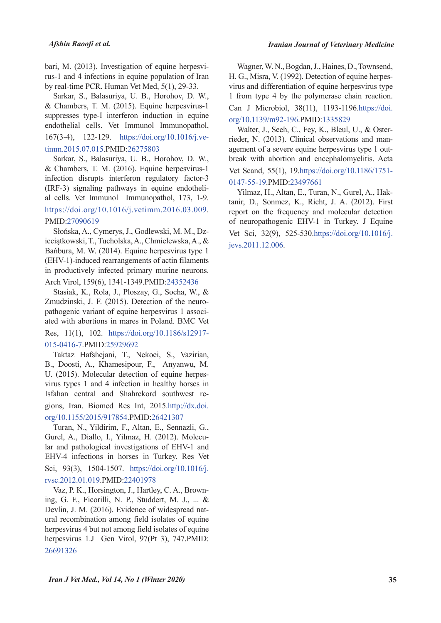*Iranian Journal of Veterinary Medicine* 

rus-1 and 4 infections in equine population of Iran bari, M. (2013). Investigation of equine herpesviby real-time PCR. Human Vet Med,  $5(1)$ , 29-33.

Sarkar, S., Balasuriya, U. B., Horohov, D. W., & Chambers, T. M. (2015). Equine herpesvirus-1 suppresses type-I interferon induction in equine endothelial cells. Vet Immunol Immunopathol, 167(3-4), 122-129. https://doi.org/10.1016/j.ve-<br>timm.2015.07.015.PMID:26275803

Sarkar, S., Balasuriya, U. B., Horohov, D. W., & Chambers, T. M. (2016). Equine herpesvirus-1 infection disrupts interferon regulatory factor-3 al cells. Vet Immunol Immunopathol, 173, 1-9. (IRF-3) signaling pathways in equine endothelihttps://doi.org/10.1016/j.vetimm.2016.03.009. PMID:27090619

ieciątkowski, T., Tucholska, A., Chmielewska, A., & Słońska, A., Cymerys, J., Godlewski, M. M., Dz-Bańbura, M. W. (2014). Equine herpesvirus type 1 (EHV-1)-induced rearrangements of actin filaments in productively infected primary murine neurons. Arch Virol, 159(6), 1341-1349. PMID: 24352436

Stasiak, K., Rola, J., Ploszay, G., Socha, W., & ated with abortions in mares in Poland. BMC Vet pathogenic variant of equine herpesvirus 1 associ-Zmudzinski, J. F. (2015). Detection of the neuro-Res, 11(1), 102. https://doi.org/10.1186/s12917-

#### 015-0416-7.PMID:25929692

Taktaz Hafshejani, T., Nekoei, S., Vazirian, B., Doosti, A., Khamesipour, F., Anyanwu, M. virus types  $1$  and  $4$  infection in healthy horses in U. (2015). Molecular detection of equine herpesgions, Iran. Biomed Res Int, 2015.http://dx.doi. Isfahan central and Shahrekord southwest reorg/10.1155/2015/917854.PMID:26421307

Turan, N., Yildirim, F., Altan, E., Sennazli, G., lar and pathological investigations of EHV-1 and Gurel, A., Diallo, I., Yilmaz, H. (2012). Molecu-EHV-4 infections in horses in Turkey. Res Vet Sci, 93(3), 1504-1507. https://doi.org/10.1016/j. rysc.2012.01.019.PMID:22401978

ing, G. F., Ficorilli, N. P., Studdert, M. J., ...  $&$ Vaz, P. K., Horsington, J., Hartley, C. A., Brownural recombination among field isolates of equine Devlin, J. M. (2016). Evidence of widespread natherpesvirus 4 but not among field isolates of equine herpesvirus 1.J Gen Virol, 97(Pt 3), 747. PMID: 26691326

Wagner, W.N., Bogdan, J., Haines, D., Townsend, virus and differentiation of equine herpesvirus type H. G., Misra, V. (1992). Detection of equine herpes-1 from type 4 by the polymerase chain reaction. Can J Microbiol, 38(11), 1193-1196.https://doi. org/10.1139/m92-196.PMID:1335829

break with abortion and encephalomyelitis. Acta agement of a severe equine herpesvirus type 1 outrieder, N. (2013). Clinical observations and man-Walter, J., Seeh, C., Fey, K., Bleul, U., & Oster-Vet Scand, 55(1), 19.https://doi.org/10.1186/1751-0147-55-19.PMID:23497661

tanir, D., Sonmez, K., Richt, J. A. (2012). First Yilmaz, H., Altan, E., Turan, N., Gurel, A., Hakreport on the frequency and molecular detection of neuropathogenic EHV-1 in Turkey. J Equine Vet Sci, 32(9), 525-530. https://doi.org/10.1016/j. jevs.2011.12.006.